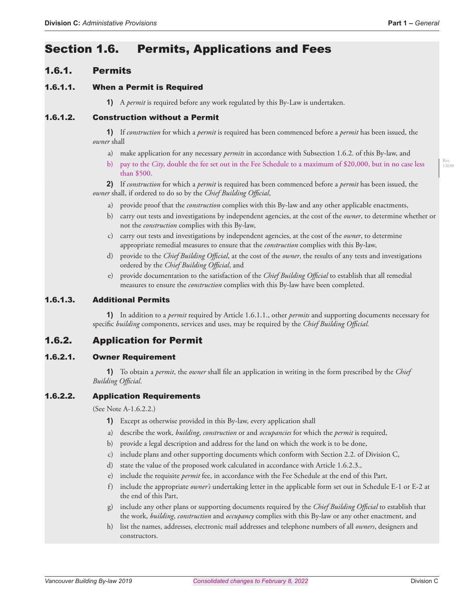# Section 1.6. Permits, Applications and Fees

# 1.6.1. Permits

### 1.6.1.1. When a Permit is Required

**1)** A *permit* is required before any work regulated by this By-Law is undertaken.

### 1.6.1.2. Construction without a Permit

**1)** If *construction* for which a *permit* is required has been commenced before a *permit* has been issued, the *owner* shall

- a) make application for any necessary *permits* in accordance with Subsection 1.6.2. of this By-law, and
- b) pay to the *City*, double the fee set out in the Fee Schedule to a maximum of \$20,000, but in no case less than \$500.

**2)** If *construction* for which a *permit* is required has been commenced before a *permit* has been issued, the *owner* shall, if ordered to do so by the *Chief Building Official*,

- a) provide proof that the *construction* complies with this By-law and any other applicable enactments,
- b) carry out tests and investigations by independent agencies, at the cost of the *owner*, to determine whether or not the *construction* complies with this By-law,
- c) carry out tests and investigations by independent agencies, at the cost of the *owner*, to determine appropriate remedial measures to ensure that the *construction* complies with this By-law,
- d) provide to the *Chief Building Official*, at the cost of the *owner*, the results of any tests and investigations ordered by the *Chief Building Official*, and
- e) provide documentation to the satisfaction of the *Chief Building Official* to establish that all remedial measures to ensure the *construction* complies with this By-law have been completed.

#### 1.6.1.3. Additional Permits

**1)** In addition to a *permit* required by Article 1.6.1.1., other *permits* and supporting documents necessary for specific *building* components, services and uses, may be required by the *Chief Building Official.*

# 1.6.2. Application for Permit

#### 1.6.2.1. Owner Requirement

**1)** To obtain a *permit*, the *owner* shall file an application in writing in the form prescribed by the *Chief Building Official*.

#### 1.6.2.2. Application Requirements

(See Note A-1.6.2.2.)

- **1)** Except as otherwise provided in this By-law, every application shall
- a) describe the work, *building*, *construction* or and *occupancies* for which the *permit* is required,
- b) provide a legal description and address for the land on which the work is to be done,
- c) include plans and other supporting documents which conform with Section 2.2. of Division C,
- d) state the value of the proposed work calculated in accordance with Article 1.6.2.3.,
- e) include the requisite *permit* fee, in accordance with the Fee Schedule at the end of this Part,
- f) include the appropriate *owner's* undertaking letter in the applicable form set out in Schedule E-1 or E-2 at the end of this Part,
- g) include any other plans or supporting documents required by the *Chief Building Official* to establish that the work, *building*, *construction* and *occupancy* complies with this By-law or any other enactment, and
- h) list the names, addresses, electronic mail addresses and telephone numbers of all *owners*, designers and constructors.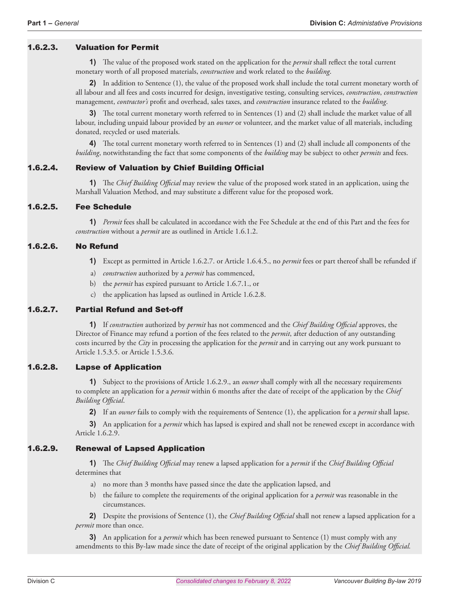# 1.6.2.3. Valuation for Permit

**1)** The value of the proposed work stated on the application for the *permit* shall reflect the total current monetary worth of all proposed materials, *construction* and work related to the *building*.

**2)** In addition to Sentence (1), the value of the proposed work shall include the total current monetary worth of all labour and all fees and costs incurred for design, investigative testing, consulting services, *construction*, *construction*  management, *contractor's* profit and overhead, sales taxes, and *construction* insurance related to the *building*.

**3)** The total current monetary worth referred to in Sentences (1) and (2) shall include the market value of all labour, including unpaid labour provided by an *owner* or volunteer, and the market value of all materials, including donated, recycled or used materials.

**4)** The total current monetary worth referred to in Sentences (1) and (2) shall include all components of the *building*, notwithstanding the fact that some components of the *building* may be subject to other *permits* and fees.

# 1.6.2.4. Review of Valuation by Chief Building Official

**1)** The *Chief Building Official* may review the value of the proposed work stated in an application, using the Marshall Valuation Method, and may substitute a different value for the proposed work.

#### 1.6.2.5. Fee Schedule

**1)** *Permit* fees shall be calculated in accordance with the Fee Schedule at the end of this Part and the fees for *construction* without a *permit* are as outlined in Article 1.6.1.2.

### 1.6.2.6. No Refund

- **1)** Except as permitted in Article 1.6.2.7. or Article 1.6.4.5., no *permit* fees or part thereof shall be refunded if
- a) *construction* authorized by a *permit* has commenced,
- b) the *permit* has expired pursuant to Article 1.6.7.1., or
- c) the application has lapsed as outlined in Article 1.6.2.8.

#### 1.6.2.7. Partial Refund and Set-off

**1)** If *construction* authorized by *permit* has not commenced and the *Chief Building Official* approves, the Director of Finance may refund a portion of the fees related to the *permit*, after deduction of any outstanding costs incurred by the *City* in processing the application for the *permit* and in carrying out any work pursuant to Article 1.5.3.5. or Article 1.5.3.6.

#### 1.6.2.8. Lapse of Application

**1)** Subject to the provisions of Article 1.6.2.9., an *owner* shall comply with all the necessary requirements to complete an application for a *permit* within 6 months after the date of receipt of the application by the *Chief Building Official*.

**2)** If an *owner* fails to comply with the requirements of Sentence (1), the application for a *permit* shall lapse.

**3)** An application for a *permit* which has lapsed is expired and shall not be renewed except in accordance with Article 1.6.2.9.

# 1.6.2.9. Renewal of Lapsed Application

**1)** The *Chief Building Official* may renew a lapsed application for a *permit* if the *Chief Building Official*  determines that

- a) no more than 3 months have passed since the date the application lapsed, and
- b) the failure to complete the requirements of the original application for a *permit* was reasonable in the circumstances.

**2)** Despite the provisions of Sentence (1), the *Chief Building Official* shall not renew a lapsed application for a *permit* more than once.

**3)** An application for a *permit* which has been renewed pursuant to Sentence (1) must comply with any amendments to this By-law made since the date of receipt of the original application by the *Chief Building Official.*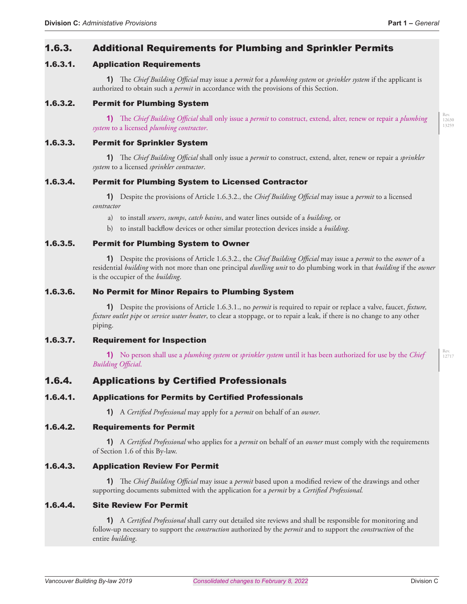Rev. 12717

# 1.6.3. Additional Requirements for Plumbing and Sprinkler Permits

# 1.6.3.1. Application Requirements

**1)** The *Chief Building Official* may issue a *permit* for a *plumbing system* or *sprinkler system* if the applicant is authorized to obtain such a *permit* in accordance with the provisions of this Section.

# 1.6.3.2. Permit for Plumbing System

**1)** The *Chief Building Official* shall only issue a *permit* to construct, extend, alter, renew or repair a *plumbing system* to a licensed *plumbing contractor*.

### 1.6.3.3. Permit for Sprinkler System

**1)** The *Chief Building Official* shall only issue a *permit* to construct, extend, alter, renew or repair a *sprinkler system* to a licensed *sprinkler contractor*.

#### 1.6.3.4. Permit for Plumbing System to Licensed Contractor

**1)** Despite the provisions of Article 1.6.3.2., the *Chief Building Official* may issue a *permit* to a licensed *contractor*

a) to install *sewers*, *sumps*, *catch basins*, and water lines outside of a *building*, or

b) to install backflow devices or other similar protection devices inside a *building*.

#### 1.6.3.5. Permit for Plumbing System to Owner

**1)** Despite the provisions of Article 1.6.3.2., the *Chief Building Official* may issue a *permit* to the *owner* of a residential *building* with not more than one principal *dwelling unit* to do plumbing work in that *building* if the *owner*  is the occupier of the *building*.

### 1.6.3.6. No Permit for Minor Repairs to Plumbing System

**1)** Despite the provisions of Article 1.6.3.1., no *permit* is required to repair or replace a valve, faucet, *fixture, fixture outlet pipe* or *service water heater*, to clear a stoppage, or to repair a leak, if there is no change to any other piping.

#### 1.6.3.7. Requirement for Inspection

**1)** No person shall use a *plumbing system* or *sprinkler system* until it has been authorized for use by the *Chief Building Official*.

# 1.6.4. Applications by Certified Professionals

#### 1.6.4.1. Applications for Permits by Certified Professionals

**1)** A *Certified Professional* may apply for a *permit* on behalf of an *owner*.

## 1.6.4.2. Requirements for Permit

**1)** A *Certified Professional* who applies for a *permit* on behalf of an *owner* must comply with the requirements of Section 1.6 of this By-law.

## 1.6.4.3. Application Review For Permit

**1)** The *Chief Building Official* may issue a *permit* based upon a modified review of the drawings and other supporting documents submitted with the application for a *permit* by a *Certified Professional.*

### 1.6.4.4. Site Review For Permit

**1)** A *Certified Professional* shall carry out detailed site reviews and shall be responsible for monitoring and follow-up necessary to support the *construction* authorized by the *permit* and to support the *construction* of the entire *building*.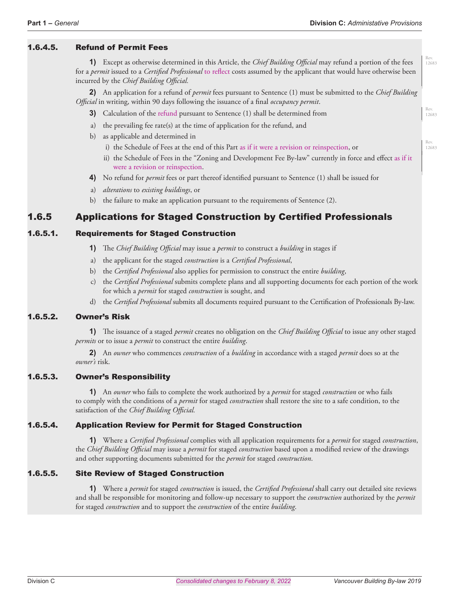Rev. 12683

Rev. 12683

### 1.6.4.5. Refund of Permit Fees

**1)** Except as otherwise determined in this Article, the *Chief Building Official* may refund a portion of the fees for a *permit* issued to a *Certified Professional* to reflect costs assumed by the applicant that would have otherwise been incurred by the *Chief Building Official.*

**2)** An application for a refund of *permit* fees pursuant to Sentence (1) must be submitted to the *Chief Building Official* in writing, within 90 days following the issuance of a final *occupancy permit*.

- **3)** Calculation of the refund pursuant to Sentence (1) shall be determined from
- a) the prevailing fee rate(s) at the time of application for the refund, and
- b) as applicable and determined in
	- i) the Schedule of Fees at the end of this Part as if it were a revision or reinspection, or
	- ii) the Schedule of Fees in the "Zoning and Development Fee By-law" currently in force and effect as if it were a revision or reinspection.
- **4)** No refund for *permit* fees or part thereof identified pursuant to Sentence (1) shall be issued for
- a) *alterations* to *existing buildings*, or
- b) the failure to make an application pursuant to the requirements of Sentence (2).

# 1.6.5 Applications for Staged Construction by Certified Professionals

### 1.6.5.1. Requirements for Staged Construction

- **1)** The *Chief Building Official* may issue a *permit* to construct a *building* in stages if
- a) the applicant for the staged *construction* is a *Certified Professional*,
- b) the *Certified Professional* also applies for permission to construct the entire *building*,
- c) the *Certified Professional* submits complete plans and all supporting documents for each portion of the work for which a *permit* for staged *construction* is sought, and
- d) the *Certified Professional* submits all documents required pursuant to the Certification of Professionals By-law.

#### 1.6.5.2. Owner's Risk

**1)** The issuance of a staged *permit* creates no obligation on the *Chief Building Official* to issue any other staged *permits* or to issue a *permit* to construct the entire *building*.

**2)** An *owner* who commences *construction* of a *building* in accordance with a staged *permit* does so at the *owner's* risk.

#### 1.6.5.3. Owner's Responsibility

**1)** An *owner* who fails to complete the work authorized by a *permit* for staged *construction* or who fails to comply with the conditions of a *permit* for staged *construction* shall restore the site to a safe condition, to the satisfaction of the *Chief Building Official.*

#### 1.6.5.4. Application Review for Permit for Staged Construction

**1)** Where a *Certified Professional* complies with all application requirements for a *permit* for staged *construction*, the *Chief Building Official* may issue a *permit* for staged *construction* based upon a modified review of the drawings and other supporting documents submitted for the *permit* for staged *construction*.

#### 1.6.5.5. Site Review of Staged Construction

**1)** Where a *permit* for staged *construction* is issued, the *Certified Professional* shall carry out detailed site reviews and shall be responsible for monitoring and follow-up necessary to support the *construction* authorized by the *permit*  for staged *construction* and to support the *construction* of the entire *building*.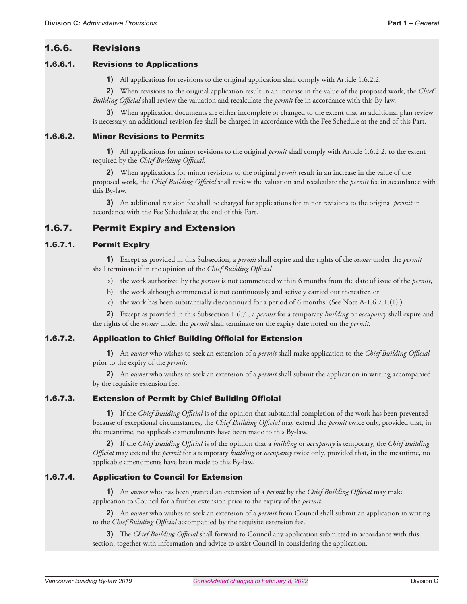# 1.6.6. Revisions

#### 1.6.6.1. Revisions to Applications

**1)** All applications for revisions to the original application shall comply with Article 1.6.2.2.

**2)** When revisions to the original application result in an increase in the value of the proposed work, the *Chief Building Official* shall review the valuation and recalculate the *permit* fee in accordance with this By-law.

**3)** When application documents are either incomplete or changed to the extent that an additional plan review is necessary, an additional revision fee shall be charged in accordance with the Fee Schedule at the end of this Part.

## 1.6.6.2. Minor Revisions to Permits

**1)** All applications for minor revisions to the original *permit* shall comply with Article 1.6.2.2. to the extent required by the *Chief Building Official*.

**2)** When applications for minor revisions to the original *permit* result in an increase in the value of the proposed work, the *Chief Building Official* shall review the valuation and recalculate the *permit* fee in accordance with this By-law.

**3)** An additional revision fee shall be charged for applications for minor revisions to the original *permit* in accordance with the Fee Schedule at the end of this Part.

# 1.6.7. Permit Expiry and Extension

# 1.6.7.1. Permit Expiry

**1)** Except as provided in this Subsection, a *permit* shall expire and the rights of the *owner* under the *permit*  shall terminate if in the opinion of the *Chief Building Official*

- a) the work authorized by the *permit* is not commenced within 6 months from the date of issue of the *permit*,
- b) the work although commenced is not continuously and actively carried out thereafter, or
- c) the work has been substantially discontinued for a period of 6 months. (See Note A-1.6.7.1.(1).)

**2)** Except as provided in this Subsection 1.6.7., a *permit* for a temporary *building* or *occupancy* shall expire and the rights of the *owner* under the *permit* shall terminate on the expiry date noted on the *permit.*

#### 1.6.7.2. Application to Chief Building Official for Extension

**1)** An *owner* who wishes to seek an extension of a *permit* shall make application to the *Chief Building Official*  prior to the expiry of the *permit*.

**2)** An *owner* who wishes to seek an extension of a *permit* shall submit the application in writing accompanied by the requisite extension fee.

# 1.6.7.3. Extension of Permit by Chief Building Official

**1)** If the *Chief Building Official* is of the opinion that substantial completion of the work has been prevented because of exceptional circumstances, the *Chief Building Official* may extend the *permit* twice only, provided that, in the meantime, no applicable amendments have been made to this By-law.

**2)** If the *Chief Building Official* is of the opinion that a *building* or *occupancy* is temporary, the *Chief Building Official* may extend the *permit* for a temporary *building* or *occupancy* twice only, provided that, in the meantime, no applicable amendments have been made to this By-law.

#### 1.6.7.4. Application to Council for Extension

**1)** An *owner* who has been granted an extension of a *permit* by the *Chief Building Official* may make application to Council for a further extension prior to the expiry of the *permit*.

**2)** An *owner* who wishes to seek an extension of a *permit* from Council shall submit an application in writing to the *Chief Building Official* accompanied by the requisite extension fee.

**3)** The *Chief Building Official* shall forward to Council any application submitted in accordance with this section, together with information and advice to assist Council in considering the application.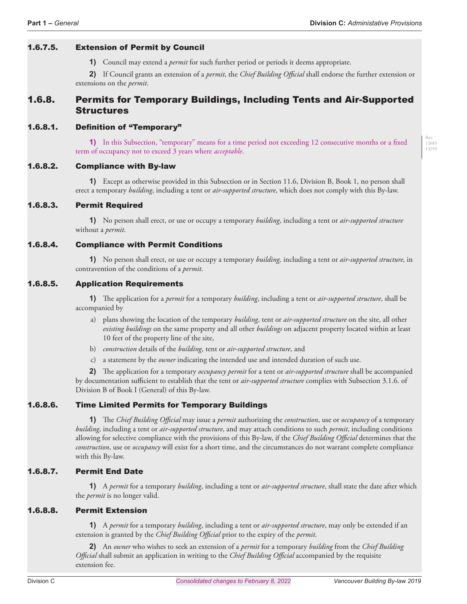#### 1.6.7.5. Extension of Permit by Council

**1)** Council may extend a *permit* for such further period or periods it deems appropriate.

**2)** If Council grants an extension of a *permit*, the *Chief Building Official* shall endorse the further extension or extensions on the *permit*.

# 1.6.8. Permits for Temporary Buildings, Including Tents and Air-Supported Structures

#### 1.6.8.1. Definition of "Temporary"

**1)** In this Subsection, "temporary" means for a time period not exceeding 12 consecutive months or a fixed term of occupancy not to exceed 3 years where *acceptable*.

#### 1.6.8.2. Compliance with By-law

**1)** Except as otherwise provided in this Subsection or in Section 11.6, Division B, Book 1, no person shall erect a temporary *building*, including a tent or *air-supported structure*, which does not comply with this By-law.

#### 1.6.8.3. Permit Required

**1)** No person shall erect, or use or occupy a temporary *building*, including a tent or *air-supported structure*  without a *permit*.

#### 1.6.8.4. Compliance with Permit Conditions

**1)** No person shall erect, or use or occupy a temporary *building,* including a tent or *air-supported structure*, in contravention of the conditions of a *permit*.

#### 1.6.8.5. Application Requirements

**1)** The application for a *permit* for a temporary *building*, including a tent or *air-supported structure*, shall be accompanied by

- a) plans showing the location of the temporary *building*, tent or *air-supported structure* on the site, all other *existing buildings* on the same property and all other *buildings* on adjacent property located within at least 10 feet of the property line of the site,
- b) *construction* details of the *building*, tent or *air-supported structure*, and
- c) a statement by the *owner* indicating the intended use and intended duration of such use.

**2)** The application for a temporary *occupancy permit* for a tent or *air-supported structure* shall be accompanied by documentation sufficient to establish that the tent or *air-supported structure* complies with Subsection 3.1.6. of Division B of Book I (General) of this By-law.

#### 1.6.8.6. Time Limited Permits for Temporary Buildings

**1)** The *Chief Building Official* may issue a *permit* authorizing the *construction*, use or *occupancy* of a temporary *building*, including a tent or *air-supported structure*, and may attach conditions to such *permit*, including conditions allowing for selective compliance with the provisions of this By-law, if the *Chief Building Official* determines that the *construction*, use or *occupancy* will exist for a short time, and the circumstances do not warrant complete compliance with this By-law.

#### 1.6.8.7. Permit End Date

**1)** A *permit* for a temporary *building*, including a tent or *air-supported structure*, shall state the date after which the *permit* is no longer valid.

#### 1.6.8.8. Permit Extension

**1)** A *permit* for a temporary *building*, including a tent or *air-supported structure*, may only be extended if an extension is granted by the *Chief Building Official* prior to the expiry of the *permit*.

**2)** An *owner* who wishes to seek an extension of a *permit* for a temporary *building* from the *Chief Building Official* shall submit an application in writing to the *Chief Building Official* accompanied by the requisite extension fee.